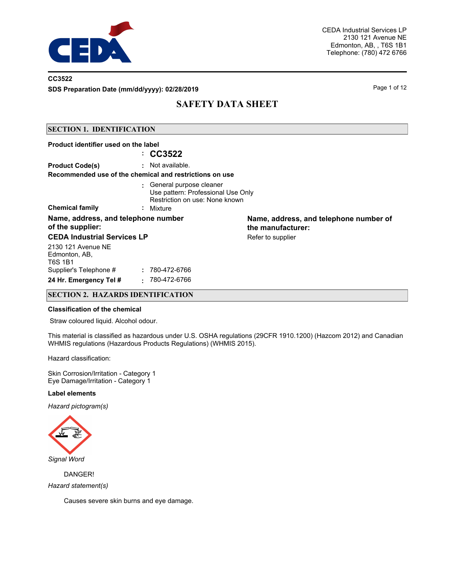

### **CC3522**

**SDS Preparation Date (mm/dd/yyyy): 02/28/2019 Page 1 of 12** Page 1 of 12

# **SAFETY DATA SHEET**

### **SECTION 1. IDENTIFICATION**

| Product identifier used on the label                    |                                                                                                   |                                                             |  |  |  |
|---------------------------------------------------------|---------------------------------------------------------------------------------------------------|-------------------------------------------------------------|--|--|--|
|                                                         | $\cdot$ CC3522                                                                                    |                                                             |  |  |  |
| <b>Product Code(s)</b>                                  | : Not available.                                                                                  |                                                             |  |  |  |
| Recommended use of the chemical and restrictions on use |                                                                                                   |                                                             |  |  |  |
|                                                         | : General purpose cleaner<br>Use pattern: Professional Use Only<br>Restriction on use: None known |                                                             |  |  |  |
| <b>Chemical family</b>                                  | ÷.<br>Mixture                                                                                     |                                                             |  |  |  |
| Name, address, and telephone number<br>of the supplier: |                                                                                                   | Name, address, and telephone number of<br>the manufacturer: |  |  |  |
| <b>CEDA Industrial Services LP</b>                      |                                                                                                   | Refer to supplier                                           |  |  |  |
| 2130 121 Avenue NE<br>Edmonton, AB,<br>T6S 1B1          |                                                                                                   |                                                             |  |  |  |
| Supplier's Telephone #                                  | 780-472-6766                                                                                      |                                                             |  |  |  |
| 24 Hr. Emergency Tel #<br>$\sim$                        | 780-472-6766                                                                                      |                                                             |  |  |  |

## **SECTION 2. HAZARDS IDENTIFICATION**

#### **Classification of the chemical**

Straw coloured liquid. Alcohol odour.

This material is classified as hazardous under U.S. OSHA regulations (29CFR 1910.1200) (Hazcom 2012) and Canadian WHMIS regulations (Hazardous Products Regulations) (WHMIS 2015).

Hazard classification:

Skin Corrosion/Irritation - Category 1 Eye Damage/Irritation - Category 1

#### **Label elements**

*Hazard pictogram(s)*



DANGER! *Hazard statement(s)*

Causes severe skin burns and eye damage.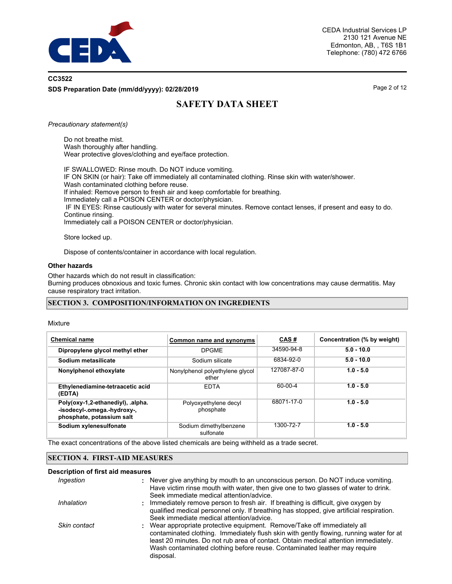

# **CC3522 SDS Preparation Date (mm/dd/yyyy): 02/28/2019 Page 2 of 12** Page 2 of 12

# **SAFETY DATA SHEET**

*Precautionary statement(s)*

Do not breathe mist. Wash thoroughly after handling. Wear protective gloves/clothing and eye/face protection.

IF SWALLOWED: Rinse mouth. Do NOT induce vomiting. IF ON SKIN (or hair): Take off immediately all contaminated clothing. Rinse skin with water/shower. Wash contaminated clothing before reuse. If inhaled: Remove person to fresh air and keep comfortable for breathing. Immediately call a POISON CENTER or doctor/physician. IF IN EYES: Rinse cautiously with water for several minutes. Remove contact lenses, if present and easy to do. Continue rinsing. Immediately call a POISON CENTER or doctor/physician.

Store locked up.

Dispose of contents/container in accordance with local regulation.

#### **Other hazards**

Other hazards which do not result in classification: Burning produces obnoxious and toxic fumes. Chronic skin contact with low concentrations may cause dermatitis. May cause respiratory tract irritation.

## **SECTION 3. COMPOSITION/INFORMATION ON INGREDIENTS**

Mixture

| <b>Chemical name</b>                                                                          | Common name and synonyms                 | CAS#        | Concentration (% by weight) |
|-----------------------------------------------------------------------------------------------|------------------------------------------|-------------|-----------------------------|
| Dipropylene glycol methyl ether                                                               | <b>DPGMF</b>                             | 34590-94-8  | $5.0 - 10.0$                |
| Sodium metasilicate                                                                           | Sodium silicate                          | 6834-92-0   | $5.0 - 10.0$                |
| Nonylphenol ethoxylate                                                                        | Nonylphenol polyethylene glycol<br>ether | 127087-87-0 | $1.0 - 5.0$                 |
| Ethylenediamine-tetraacetic acid<br>(EDTA)                                                    | <b>FDTA</b>                              | 60-00-4     | $1.0 - 5.0$                 |
| Poly(oxy-1,2-ethanediyl), .alpha.<br>-isodecyl-.omega.-hydroxy-,<br>phosphate, potassium salt | Polyoxyethylene decyl<br>phosphate       | 68071-17-0  | $1.0 - 5.0$                 |
| Sodium xylenesulfonate                                                                        | Sodium dimethylbenzene<br>sulfonate      | 1300-72-7   | $1.0 - 5.0$                 |

The exact concentrations of the above listed chemicals are being withheld as a trade secret.

## **SECTION 4. FIRST-AID MEASURES**

#### **Description of first aid measures**

| Ingestion    | : Never give anything by mouth to an unconscious person. Do NOT induce vomiting.<br>Have victim rinse mouth with water, then give one to two glasses of water to drink.<br>Seek immediate medical attention/advice.                                                                                                                                  |
|--------------|------------------------------------------------------------------------------------------------------------------------------------------------------------------------------------------------------------------------------------------------------------------------------------------------------------------------------------------------------|
| Inhalation   | : Immediately remove person to fresh air. If breathing is difficult, give oxygen by<br>qualified medical personnel only. If breathing has stopped, give artificial respiration.<br>Seek immediate medical attention/advice.                                                                                                                          |
| Skin contact | : Wear appropriate protective equipment. Remove/Take off immediately all<br>contaminated clothing. Immediately flush skin with gently flowing, running water for at<br>least 20 minutes. Do not rub area of contact. Obtain medical attention immediately.<br>Wash contaminated clothing before reuse. Contaminated leather may require<br>disposal. |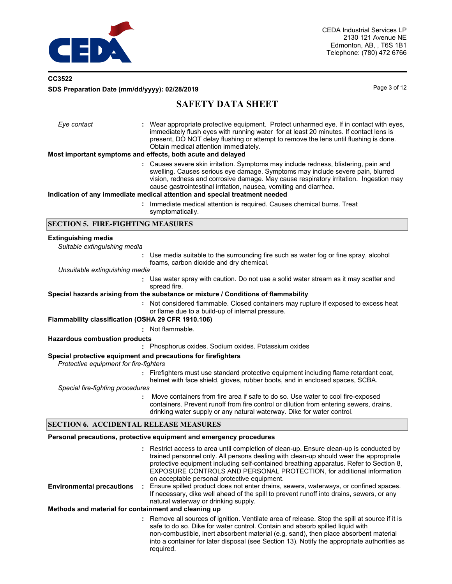

# **CC3522 SDS Preparation Date (mm/dd/yyyy): 02/28/2019 Page 3 of 12** Page 3 of 12

# **SAFETY DATA SHEET**

| Eye contact                                                | : Wear appropriate protective equipment. Protect unharmed eye. If in contact with eyes,<br>immediately flush eyes with running water for at least 20 minutes. If contact lens is<br>present, DO NOT delay flushing or attempt to remove the lens until flushing is done.<br>Obtain medical attention immediately.<br>Most important symptoms and effects, both acute and delayed                    |
|------------------------------------------------------------|-----------------------------------------------------------------------------------------------------------------------------------------------------------------------------------------------------------------------------------------------------------------------------------------------------------------------------------------------------------------------------------------------------|
|                                                            | : Causes severe skin irritation. Symptoms may include redness, blistering, pain and<br>swelling. Causes serious eye damage. Symptoms may include severe pain, blurred<br>vision, redness and corrosive damage. May cause respiratory irritation. Ingestion may                                                                                                                                      |
|                                                            | cause gastrointestinal irritation, nausea, vomiting and diarrhea.<br>Indication of any immediate medical attention and special treatment needed                                                                                                                                                                                                                                                     |
|                                                            | : Immediate medical attention is required. Causes chemical burns. Treat<br>symptomatically.                                                                                                                                                                                                                                                                                                         |
| <b>SECTION 5. FIRE-FIGHTING MEASURES</b>                   |                                                                                                                                                                                                                                                                                                                                                                                                     |
| <b>Extinguishing media</b><br>Suitable extinguishing media |                                                                                                                                                                                                                                                                                                                                                                                                     |
|                                                            | Use media suitable to the surrounding fire such as water fog or fine spray, alcohol<br>foams, carbon dioxide and dry chemical.                                                                                                                                                                                                                                                                      |
| Unsuitable extinguishing media                             | : Use water spray with caution. Do not use a solid water stream as it may scatter and<br>spread fire.                                                                                                                                                                                                                                                                                               |
|                                                            | Special hazards arising from the substance or mixture / Conditions of flammability                                                                                                                                                                                                                                                                                                                  |
|                                                            | : Not considered flammable. Closed containers may rupture if exposed to excess heat<br>or flame due to a build-up of internal pressure.                                                                                                                                                                                                                                                             |
| Flammability classification (OSHA 29 CFR 1910.106)         | : Not flammable.                                                                                                                                                                                                                                                                                                                                                                                    |
| <b>Hazardous combustion products</b>                       |                                                                                                                                                                                                                                                                                                                                                                                                     |
|                                                            | : Phosphorus oxides. Sodium oxides. Potassium oxides                                                                                                                                                                                                                                                                                                                                                |
| Protective equipment for fire-fighters                     | Special protective equipment and precautions for firefighters                                                                                                                                                                                                                                                                                                                                       |
| Special fire-fighting procedures                           | : Firefighters must use standard protective equipment including flame retardant coat,<br>helmet with face shield, gloves, rubber boots, and in enclosed spaces, SCBA.                                                                                                                                                                                                                               |
|                                                            | Move containers from fire area if safe to do so. Use water to cool fire-exposed<br>containers. Prevent runoff from fire control or dilution from entering sewers, drains,<br>drinking water supply or any natural waterway. Dike for water control.                                                                                                                                                 |
| <b>SECTION 6. ACCIDENTAL RELEASE MEASURES</b>              |                                                                                                                                                                                                                                                                                                                                                                                                     |
|                                                            | Personal precautions, protective equipment and emergency procedures                                                                                                                                                                                                                                                                                                                                 |
|                                                            | : Restrict access to area until completion of clean-up. Ensure clean-up is conducted by<br>trained personnel only. All persons dealing with clean-up should wear the appropriate<br>protective equipment including self-contained breathing apparatus. Refer to Section 8,<br>EXPOSURE CONTROLS AND PERSONAL PROTECTION, for additional information<br>on acceptable personal protective equipment. |
| <b>Environmental precautions</b>                           | Ensure spilled product does not enter drains, sewers, waterways, or confined spaces.<br>If necessary, dike well ahead of the spill to prevent runoff into drains, sewers, or any<br>natural waterway or drinking supply.                                                                                                                                                                            |
| Methods and material for containment and cleaning up       |                                                                                                                                                                                                                                                                                                                                                                                                     |
|                                                            | : Remove all sources of ignition. Ventilate area of release. Stop the spill at source if it is<br>safe to do so. Dike for water control. Contain and absorb spilled liquid with<br>non-combustible, inert absorbent material (e.g. sand), then place absorbent material<br>into a container for later disposal (see Section 13). Notify the appropriate authorities as                              |

required.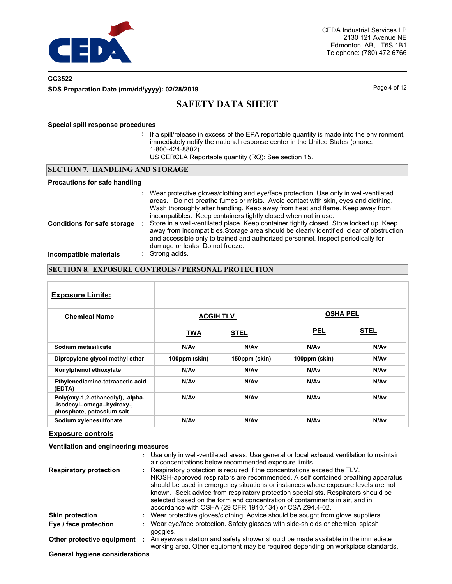

# **CC3522 SDS Preparation Date (mm/dd/yyyy): 02/28/2019 Page 4 of 12** Page 4 of 12

# **SAFETY DATA SHEET**

#### **Special spill response procedures**

- **:** If a spill/release in excess of the EPA reportable quantity is made into the environment, immediately notify the national response center in the United States (phone: 1-800-424-8802).
	- US CERCLA Reportable quantity (RQ): See section 15.

#### **SECTION 7. HANDLING AND STORAGE**

#### **Precautions for safe handling**

| <b>Conditions for safe storage</b> | : Wear protective gloves/clothing and eye/face protection. Use only in well-ventilated<br>areas. Do not breathe fumes or mists. Avoid contact with skin, eyes and clothing.<br>Wash thoroughly after handling. Keep away from heat and flame. Keep away from<br>incompatibles. Keep containers tightly closed when not in use.<br>Store in a well-ventilated place. Keep container tightly closed. Store locked up. Keep<br>away from incompatibles. Storage area should be clearly identified, clear of obstruction |  |  |
|------------------------------------|----------------------------------------------------------------------------------------------------------------------------------------------------------------------------------------------------------------------------------------------------------------------------------------------------------------------------------------------------------------------------------------------------------------------------------------------------------------------------------------------------------------------|--|--|
| Incompatible materials             | and accessible only to trained and authorized personnel. Inspect periodically for<br>damage or leaks. Do not freeze.<br>: Strong acids.                                                                                                                                                                                                                                                                                                                                                                              |  |  |

### **SECTION 8. EXPOSURE CONTROLS / PERSONAL PROTECTION**

| <b>Exposure Limits:</b>                                                                       |                  |               |                 |             |
|-----------------------------------------------------------------------------------------------|------------------|---------------|-----------------|-------------|
| <b>Chemical Name</b>                                                                          | <b>ACGIH TLV</b> |               | <b>OSHA PEL</b> |             |
|                                                                                               | <b>TWA</b>       | <b>STEL</b>   | <b>PEL</b>      | <b>STEL</b> |
| Sodium metasilicate                                                                           | N/Av             | N/Av          | N/Av            | N/Av        |
| Dipropylene glycol methyl ether                                                               | 100ppm (skin)    | 150ppm (skin) | 100ppm (skin)   | N/Av        |
| Nonylphenol ethoxylate                                                                        | N/Av             | N/Av          | N/Av            | N/Av        |
| Ethylenediamine-tetraacetic acid<br>(EDTA)                                                    | N/Av             | N/Av          | N/Av            | N/Av        |
| Poly(oxy-1,2-ethanediyl), .alpha.<br>-isodecyl-.omega.-hydroxy-,<br>phosphate, potassium salt | N/Av             | N/Av          | N/Av            | N/Av        |
| Sodium xylenesulfonate                                                                        | N/Av             | N/Av          | N/Av            | N/Av        |

### **Exposure controls**

### **Ventilation and engineering measures**

|                               | : Use only in well-ventilated areas. Use general or local exhaust ventilation to maintain<br>air concentrations below recommended exposure limits.                                                                                                                                                                                                                                                                                                                                 |
|-------------------------------|------------------------------------------------------------------------------------------------------------------------------------------------------------------------------------------------------------------------------------------------------------------------------------------------------------------------------------------------------------------------------------------------------------------------------------------------------------------------------------|
| <b>Respiratory protection</b> | : Respiratory protection is required if the concentrations exceed the TLV.<br>NIOSH-approved respirators are recommended. A self contained breathing apparatus<br>should be used in emergency situations or instances where exposure levels are not<br>known. Seek advice from respiratory protection specialists. Respirators should be<br>selected based on the form and concentration of contaminants in air, and in<br>accordance with OSHA (29 CFR 1910.134) or CSA Z94.4-02. |
| <b>Skin protection</b>        | : Wear protective gloves/clothing. Advice should be sought from glove suppliers.                                                                                                                                                                                                                                                                                                                                                                                                   |
| Eye / face protection         | : Wear eye/face protection. Safety glasses with side-shields or chemical splash<br>goggles.                                                                                                                                                                                                                                                                                                                                                                                        |
| Other protective equipment    | An eyewash station and safety shower should be made available in the immediate<br>working area. Other equipment may be required depending on workplace standards.                                                                                                                                                                                                                                                                                                                  |

**General hygiene considerations**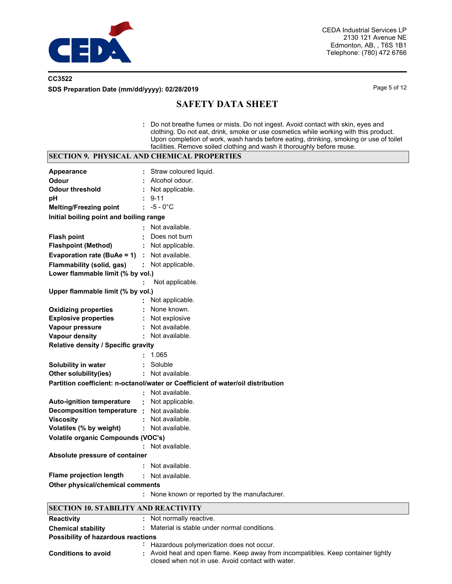

# **CC3522 SDS Preparation Date (mm/dd/yyyy): 02/28/2019 Page 5 of 12 Page 5 of 12**

# **SAFETY DATA SHEET**

**:** Do not breathe fumes or mists. Do not ingest. Avoid contact with skin, eyes and clothing. Do not eat, drink, smoke or use cosmetics while working with this product. Upon completion of work, wash hands before eating, drinking, smoking or use of toilet facilities. Remove soiled clothing and wash it thoroughly before reuse.

|                                                     | rading our received bondard districting and washing aroused the<br><b>SECTION 9. PHYSICAL AND CHEMICAL PROPERTIES</b> |  |  |  |  |
|-----------------------------------------------------|-----------------------------------------------------------------------------------------------------------------------|--|--|--|--|
| <b>Appearance</b>                                   | Straw coloured liquid.                                                                                                |  |  |  |  |
| Odour                                               | Alcohol odour.                                                                                                        |  |  |  |  |
| <b>Odour threshold</b>                              | Not applicable.                                                                                                       |  |  |  |  |
| рH                                                  | $9 - 11$                                                                                                              |  |  |  |  |
| <b>Melting/Freezing point</b>                       | $: -5 - 0^{\circ}C$                                                                                                   |  |  |  |  |
| Initial boiling point and boiling range             |                                                                                                                       |  |  |  |  |
|                                                     | Not available.                                                                                                        |  |  |  |  |
| <b>Flash point</b>                                  | Does not burn                                                                                                         |  |  |  |  |
| <b>Flashpoint (Method)</b>                          | Not applicable.                                                                                                       |  |  |  |  |
| <b>Evaporation rate (BuAe = 1)</b> : Not available. |                                                                                                                       |  |  |  |  |
| <b>Flammability (solid, gas)</b>                    | : Not applicable.                                                                                                     |  |  |  |  |
| Lower flammable limit (% by vol.)                   |                                                                                                                       |  |  |  |  |
|                                                     | Not applicable.                                                                                                       |  |  |  |  |
| Upper flammable limit (% by vol.)                   |                                                                                                                       |  |  |  |  |
|                                                     | Not applicable.                                                                                                       |  |  |  |  |
| <b>Oxidizing properties</b>                         | None known.                                                                                                           |  |  |  |  |
| <b>Explosive properties</b>                         | : Not explosive                                                                                                       |  |  |  |  |
| Vapour pressure                                     | : Not available.                                                                                                      |  |  |  |  |
| <b>Vapour density</b>                               | : Not available.                                                                                                      |  |  |  |  |
| Relative density / Specific gravity                 |                                                                                                                       |  |  |  |  |
|                                                     | 1.065                                                                                                                 |  |  |  |  |
| Solubility in water                                 | Soluble                                                                                                               |  |  |  |  |
| Other solubility(ies)                               | : Not available.                                                                                                      |  |  |  |  |
|                                                     | Partition coefficient: n-octanol/water or Coefficient of water/oil distribution                                       |  |  |  |  |
|                                                     | : Not available.                                                                                                      |  |  |  |  |
| <b>Auto-ignition temperature</b>                    | : Not applicable.                                                                                                     |  |  |  |  |
| Decomposition temperature : Not available.          |                                                                                                                       |  |  |  |  |
| <b>Viscosity</b>                                    | Not available.                                                                                                        |  |  |  |  |
| Volatiles (% by weight)                             | : Not available.                                                                                                      |  |  |  |  |
| Volatile organic Compounds (VOC's)                  |                                                                                                                       |  |  |  |  |
| Absolute pressure of container                      | Not available.                                                                                                        |  |  |  |  |
|                                                     |                                                                                                                       |  |  |  |  |
|                                                     | Not available.                                                                                                        |  |  |  |  |
| <b>Flame projection length</b>                      | : Not available.                                                                                                      |  |  |  |  |
| Other physical/chemical comments                    |                                                                                                                       |  |  |  |  |
|                                                     | : None known or reported by the manufacturer.                                                                         |  |  |  |  |
| <b>SECTION 10. STABILITY AND REACTIVITY</b>         |                                                                                                                       |  |  |  |  |
|                                                     |                                                                                                                       |  |  |  |  |

| SECTION IV. STABILITY AND REACTIVITY |                                                                                                                                        |  |  |  |
|--------------------------------------|----------------------------------------------------------------------------------------------------------------------------------------|--|--|--|
| <b>Reactivity</b>                    | : Not normally reactive.                                                                                                               |  |  |  |
| <b>Chemical stability</b>            | Material is stable under normal conditions.<br>÷.,                                                                                     |  |  |  |
| Possibility of hazardous reactions   |                                                                                                                                        |  |  |  |
|                                      | : Hazardous polymerization does not occur.                                                                                             |  |  |  |
| <b>Conditions to avoid</b>           | : Avoid heat and open flame. Keep away from incompatibles. Keep container tightly<br>closed when not in use. Avoid contact with water. |  |  |  |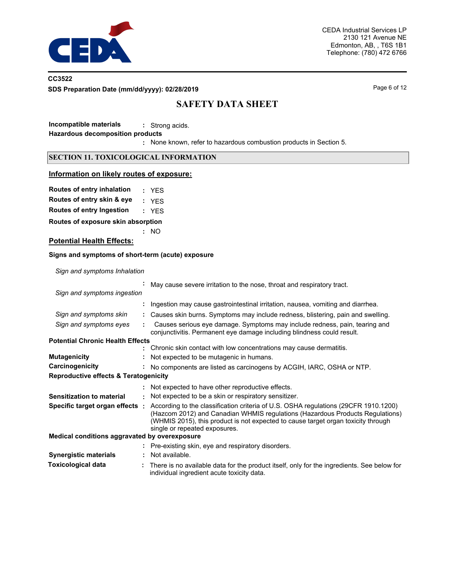

## **CC3522 SDS Preparation Date (mm/dd/yyyy): 02/28/2019 Page 6 of 12 Page 6 of 12**

# **SAFETY DATA SHEET**

**Incompatible materials :** Strong acids. **Hazardous decomposition products**

None known, refer to hazardous combustion products in Section 5. **:**

### **SECTION 11. TOXICOLOGICAL INFORMATION**

## **Information on likely routes of exposure:**

**Routes of entry inhalation :** YES

**Routes of entry skin & eye :** YES

**Routes of entry Ingestion :** YES

**Routes of exposure skin absorption**

**:** NO

## **Potential Health Effects:**

### **Signs and symptoms of short-term (acute) exposure**

*Sign and symptoms Inhalation*

|                                                  |    | May cause severe irritation to the nose, throat and respiratory tract.                                                                                                                                                                                                                                                     |
|--------------------------------------------------|----|----------------------------------------------------------------------------------------------------------------------------------------------------------------------------------------------------------------------------------------------------------------------------------------------------------------------------|
| Sign and symptoms ingestion                      |    |                                                                                                                                                                                                                                                                                                                            |
|                                                  |    | : Ingestion may cause gastrointestinal irritation, nausea, vomiting and diarrhea.                                                                                                                                                                                                                                          |
| Sign and symptoms skin                           |    | Causes skin burns. Symptoms may include redness, blistering, pain and swelling.                                                                                                                                                                                                                                            |
| Sign and symptoms eyes                           |    | Causes serious eye damage. Symptoms may include redness, pain, tearing and<br>conjunctivitis. Permanent eye damage including blindness could result.                                                                                                                                                                       |
| <b>Potential Chronic Health Effects</b>          |    |                                                                                                                                                                                                                                                                                                                            |
|                                                  |    | : Chronic skin contact with low concentrations may cause dermatitis.                                                                                                                                                                                                                                                       |
| <b>Mutagenicity</b>                              |    | Not expected to be mutagenic in humans.                                                                                                                                                                                                                                                                                    |
| Carcinogenicity                                  |    | : No components are listed as carcinogens by ACGIH, IARC, OSHA or NTP.                                                                                                                                                                                                                                                     |
| <b>Reproductive effects &amp; Teratogenicity</b> |    |                                                                                                                                                                                                                                                                                                                            |
|                                                  |    | : Not expected to have other reproductive effects.                                                                                                                                                                                                                                                                         |
| <b>Sensitization to material</b>                 | к. | Not expected to be a skin or respiratory sensitizer.                                                                                                                                                                                                                                                                       |
|                                                  |    | Specific target organ effects : According to the classification criteria of U.S. OSHA regulations (29CFR 1910.1200)<br>(Hazcom 2012) and Canadian WHMIS regulations (Hazardous Products Regulations)<br>(WHMIS 2015), this product is not expected to cause target organ toxicity through<br>single or repeated exposures. |
| Medical conditions aggravated by overexposure    |    |                                                                                                                                                                                                                                                                                                                            |
|                                                  |    | : Pre-existing skin, eye and respiratory disorders.                                                                                                                                                                                                                                                                        |
| <b>Synergistic materials</b>                     |    | Not available.                                                                                                                                                                                                                                                                                                             |
| Toxicological data                               |    | There is no available data for the product itself, only for the ingredients. See below for<br>individual ingredient acute toxicity data.                                                                                                                                                                                   |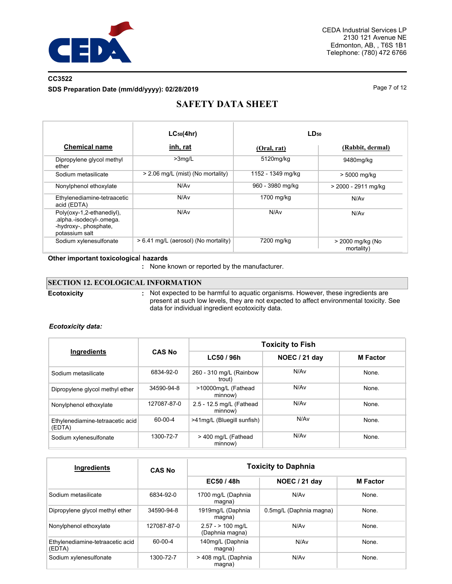

## **CC3522 SDS Preparation Date (mm/dd/yyyy): 02/28/2019 Page 7 of 12 Page 7 of 12**

# **SAFETY DATA SHEET**

|                                                                                                  | $LC_{50}(4hr)$                       | $LD_{50}$         |                                |  |
|--------------------------------------------------------------------------------------------------|--------------------------------------|-------------------|--------------------------------|--|
| <b>Chemical name</b>                                                                             | inh, rat                             | (Oral, rat)       | (Rabbit, dermal)               |  |
| Dipropylene glycol methyl<br>ether                                                               | $>3$ mg/L                            | 5120mg/kg         | 9480mg/kg                      |  |
| Sodium metasilicate                                                                              | > 2.06 mg/L (mist) (No mortality)    | 1152 - 1349 mg/kg | > 5000 mg/kg                   |  |
| Nonylphenol ethoxylate                                                                           | N/Av                                 | 960 - 3980 mg/kg  | > 2000 - 2911 mg/kg            |  |
| Ethylenediamine-tetraacetic<br>acid (EDTA)                                                       | N/Av                                 | 1700 mg/kg        | N/Av                           |  |
| Poly(oxy-1,2-ethanediyl),<br>.alpha.-isodecyl-.omega.<br>-hydroxy-, phosphate,<br>potassium salt | N/A <sub>v</sub>                     | N/Av              | N/Av                           |  |
| Sodium xylenesulfonate                                                                           | > 6.41 mg/L (aerosol) (No mortality) | 7200 mg/kg        | > 2000 mg/kg (No<br>mortality) |  |

#### **Other important toxicologica**l **hazards**

## **SECTION 12. ECOLOGICAL INFORMATION**

**Ecotoxicity :**

: Not expected to be harmful to aquatic organisms. However, these ingredients are present at such low levels, they are not expected to affect environmental toxicity. See data for individual ingredient ecotoxicity data.

## *Ecotoxicity data:*

| Ingredients                                | <b>CAS No</b> | <b>Toxicity to Fish</b>             |                  |                 |  |
|--------------------------------------------|---------------|-------------------------------------|------------------|-----------------|--|
|                                            |               | LC50 / 96h                          | NOEC / 21 day    | <b>M</b> Factor |  |
| Sodium metasilicate                        | 6834-92-0     | 260 - 310 mg/L (Rainbow<br>trout)   | N/Av             | None.           |  |
| Dipropylene glycol methyl ether            | 34590-94-8    | >10000mg/L (Fathead<br>minnow)      | N/Av             | None.           |  |
| Nonylphenol ethoxylate                     | 127087-87-0   | 2.5 - 12.5 mg/L (Fathead<br>minnow) | N/Av             | None.           |  |
| Ethylenediamine-tetraacetic acid<br>(EDTA) | 60-00-4       | >41mg/L (Bluegill sunfish)          | N/A <sub>v</sub> | None.           |  |
| Sodium xylenesulfonate                     | 1300-72-7     | > 400 mg/L (Fathead<br>minnow)      | N/Av             | None.           |  |

| Ingredients                                | <b>CAS No</b> | <b>Toxicity to Daphnia</b>             |                         |                 |  |  |
|--------------------------------------------|---------------|----------------------------------------|-------------------------|-----------------|--|--|
|                                            |               | EC50 / 48h                             | NOEC / 21 day           | <b>M</b> Factor |  |  |
| Sodium metasilicate                        | 6834-92-0     | 1700 mg/L (Daphnia<br>magna)           | N/Av                    | None.           |  |  |
| Dipropylene glycol methyl ether            | 34590-94-8    | 1919mg/L (Daphnia<br>magna)            | 0.5mg/L (Daphnia magna) | None.           |  |  |
| Nonylphenol ethoxylate                     | 127087-87-0   | $2.57 - 2.100$ mg/L<br>(Daphnia magna) | N/Av                    | None.           |  |  |
| Ethylenediamine-tetraacetic acid<br>(EDTA) | 60-00-4       | 140mg/L (Daphnia<br>magna)             | N/Av                    | None.           |  |  |
| Sodium xylenesulfonate                     | 1300-72-7     | > 408 mg/L (Daphnia<br>magna)          | N/A <sub>v</sub>        | None.           |  |  |

**<sup>:</sup>** None known or reported by the manufacturer.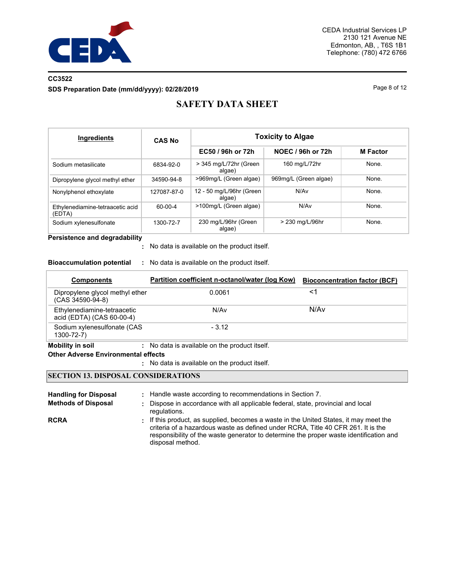

# **CC3522 SDS Preparation Date (mm/dd/yyyy): 02/28/2019 Page 8 of 12** Page 8 of 12

# **SAFETY DATA SHEET**

| Ingredients                                | <b>CAS No</b> | <b>Toxicity to Algae</b>           |                       |                 |
|--------------------------------------------|---------------|------------------------------------|-----------------------|-----------------|
|                                            |               | EC50 / 96h or 72h                  | NOEC / 96h or 72h     | <b>M</b> Factor |
| Sodium metasilicate                        | 6834-92-0     | > 345 mg/L/72hr (Green<br>algae)   | 160 mg/L/72hr         | None.           |
| Dipropylene glycol methyl ether            | 34590-94-8    | >969mg/L (Green algae)             | 969mg/L (Green algae) | None.           |
| Nonylphenol ethoxylate                     | 127087-87-0   | 12 - 50 mg/L/96hr (Green<br>algae) | N/Av                  | None.           |
| Ethylenediamine-tetraacetic acid<br>(EDTA) | 60-00-4       | >100mg/L (Green algae)             | N/Av                  | None.           |
| Sodium xylenesulfonate                     | 1300-72-7     | 230 mg/L/96hr (Green<br>algae)     | > 230 mg/L/96hr       | None.           |

**Persistence and degradability**

No data is available on the product itself. **:**

#### **Bioaccumulation potential :** No data is available on the product itself.

| <b>Components</b>                                        | Partition coefficient n-octanol/water (log Kow) | <b>Bioconcentration factor (BCF)</b> |
|----------------------------------------------------------|-------------------------------------------------|--------------------------------------|
| Dipropylene glycol methyl ether<br>(CAS 34590-94-8)      | 0.0061                                          | $\leq$ 1                             |
| Ethylenediamine-tetraacetic<br>acid (EDTA) (CAS 60-00-4) | N/Av                                            | N/Av                                 |
| Sodium xylenesulfonate (CAS<br>1300-72-7)                | $-3.12$                                         |                                      |
| <b>Mobility in soil</b>                                  | No data is available on the product itself.     |                                      |

## **Other Adverse Environmental effects**

No data is available on the product itself. **:**

## **SECTION 13. DISPOSAL CONSIDERATIONS**

| <b>Handling for Disposal</b><br><b>Methods of Disposal</b> | : Handle waste according to recommendations in Section 7.<br>: Dispose in accordance with all applicable federal, state, provincial and local<br>regulations.                                                                                                                           |
|------------------------------------------------------------|-----------------------------------------------------------------------------------------------------------------------------------------------------------------------------------------------------------------------------------------------------------------------------------------|
| <b>RCRA</b>                                                | . If this product, as supplied, becomes a waste in the United States, it may meet the<br>criteria of a hazardous waste as defined under RCRA. Title 40 CFR 261. It is the<br>responsibility of the waste generator to determine the proper waste identification and<br>disposal method. |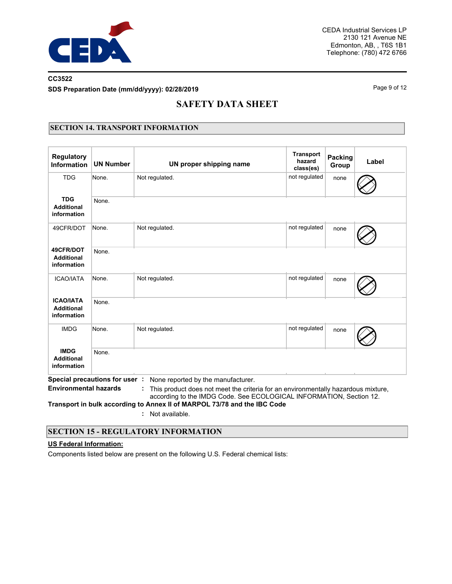

# **CC3522 SDS Preparation Date (mm/dd/yyyy): 02/28/2019 Page 9 of 12 Page 9 of 12**

# **SAFETY DATA SHEET**

## **SECTION 14. TRANSPORT INFORMATION**

| <b>Regulatory</b><br><b>Information</b>                                                                                                                                                                                                                                                                                                     | <b>UN Number</b> | UN proper shipping name | <b>Transport</b><br>hazard<br>class(es) | Packing<br>Group | Label |  |  |
|---------------------------------------------------------------------------------------------------------------------------------------------------------------------------------------------------------------------------------------------------------------------------------------------------------------------------------------------|------------------|-------------------------|-----------------------------------------|------------------|-------|--|--|
| <b>TDG</b>                                                                                                                                                                                                                                                                                                                                  | None.            | Not regulated.          | not regulated                           | none             |       |  |  |
| <b>TDG</b><br><b>Additional</b><br>information                                                                                                                                                                                                                                                                                              | None.            |                         |                                         |                  |       |  |  |
| 49CFR/DOT                                                                                                                                                                                                                                                                                                                                   | None.            | Not regulated.          | not regulated                           | none             |       |  |  |
| 49CFR/DOT<br><b>Additional</b><br>information                                                                                                                                                                                                                                                                                               | None.            |                         |                                         |                  |       |  |  |
| <b>ICAO/IATA</b>                                                                                                                                                                                                                                                                                                                            | None.            | Not regulated.          | not regulated                           | none             |       |  |  |
| <b>ICAO/IATA</b><br><b>Additional</b><br>information                                                                                                                                                                                                                                                                                        | None.            |                         |                                         |                  |       |  |  |
| <b>IMDG</b>                                                                                                                                                                                                                                                                                                                                 | None.            | Not regulated.          | not regulated                           | none             |       |  |  |
| <b>IMDG</b><br><b>Additional</b><br>information                                                                                                                                                                                                                                                                                             | None.            |                         |                                         |                  |       |  |  |
| Special precautions for user:<br>None reported by the manufacturer.<br><b>Environmental hazards</b><br>This product does not meet the criteria for an environmentally hazardous mixture,<br>according to the IMDG Code. See ECOLOGICAL INFORMATION, Section 12.<br>Transport in bulk according to Annex II of MARPOL 73/78 and the IBC Code |                  |                         |                                         |                  |       |  |  |

**:** Not available.

## **SECTION 15 - REGULATORY INFORMATION**

#### **US Federal Information:**

Components listed below are present on the following U.S. Federal chemical lists: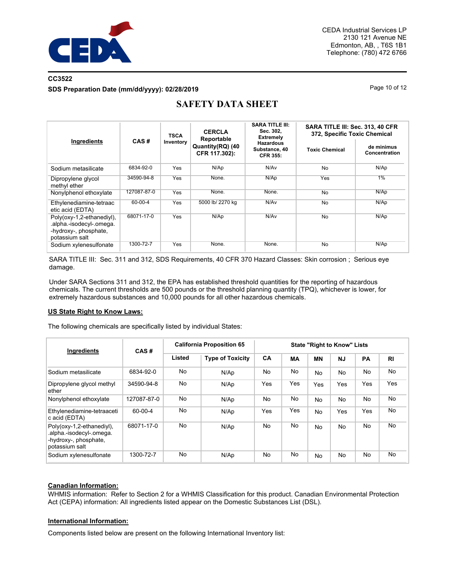

## **CC3522 SDS Preparation Date (mm/dd/yyyy): 02/28/2019 Page 10 of 12** Page 10 of 12

| Ingredients                                                                                      | CAS#          | <b>TSCA</b> | <b>CERCLA</b><br>Reportable       | <b>SARA TITLE III:</b><br>Sec. 302,<br><b>Extremely</b> | SARA TITLE III: Sec. 313, 40 CFR<br>372, Specific Toxic Chemical |                             |  |
|--------------------------------------------------------------------------------------------------|---------------|-------------|-----------------------------------|---------------------------------------------------------|------------------------------------------------------------------|-----------------------------|--|
|                                                                                                  |               | Inventory   | Quantity(RQ) (40<br>CFR 117.302): | <b>Hazardous</b><br>Substance, 40<br><b>CFR 355:</b>    | <b>Toxic Chemical</b>                                            | de minimus<br>Concentration |  |
| Sodium metasilicate                                                                              | 6834-92-0     | Yes         | N/Ap                              | N/Av                                                    | <b>No</b>                                                        | N/Ap                        |  |
| Dipropylene glycol<br>methyl ether                                                               | 34590-94-8    | Yes         | None.                             | N/Ap                                                    | Yes                                                              | $1\%$                       |  |
| Nonylphenol ethoxylate                                                                           | 127087-87-0   | Yes         | None.                             | None.                                                   | <b>No</b>                                                        | N/Ap                        |  |
| Ethylenediamine-tetraac<br>etic acid (EDTA)                                                      | $60 - 00 - 4$ | Yes         | 5000 lb/ 2270 kg                  | N/Av                                                    | No.                                                              | N/Ap                        |  |
| Poly(oxy-1,2-ethanediyl),<br>.alpha.-isodecyl-.omega.<br>-hydroxy-, phosphate,<br>potassium salt | 68071-17-0    | Yes         | N/Ap                              | N/Av                                                    | <b>No</b>                                                        | N/Ap                        |  |
| Sodium xylenesulfonate                                                                           | 1300-72-7     | Yes         | None.                             | None.                                                   | No                                                               | N/Ap                        |  |

# **SAFETY DATA SHEET**

SARA TITLE III: Sec. 311 and 312, SDS Requirements, 40 CFR 370 Hazard Classes: Skin corrosion ; Serious eye damage.

Under SARA Sections 311 and 312, the EPA has established threshold quantities for the reporting of hazardous chemicals. The current thresholds are 500 pounds or the threshold planning quantity (TPQ), whichever is lower, for extremely hazardous substances and 10,000 pounds for all other hazardous chemicals.

#### **US State Right to Know Laws:**

The following chemicals are specifically listed by individual States:

| Ingredients                                                                                      | CAS#        | <b>California Proposition 65</b> |                         | <b>State "Right to Know" Lists</b> |           |            |           |                |                |
|--------------------------------------------------------------------------------------------------|-------------|----------------------------------|-------------------------|------------------------------------|-----------|------------|-----------|----------------|----------------|
|                                                                                                  |             | Listed                           | <b>Type of Toxicity</b> | CA                                 | <b>MA</b> | <b>MN</b>  | <b>NJ</b> | PA             | R <sub>l</sub> |
| Sodium metasilicate                                                                              | 6834-92-0   | No                               | N/Ap                    | No                                 | No        | <b>No</b>  | <b>No</b> | No             | No             |
| Dipropylene glycol methyl<br>ether                                                               | 34590-94-8  | No                               | N/Ap                    | Yes                                | Yes       | <b>Yes</b> | Yes       | Yes            | Yes            |
| Nonylphenol ethoxylate                                                                           | 127087-87-0 | No                               | N/Ap                    | No                                 | No.       | <b>No</b>  | No        | No             | No             |
| Ethylenediamine-tetraaceti<br>c acid (EDTA)                                                      | 60-00-4     | No                               | N/Ap                    | Yes                                | Yes       | <b>No</b>  | Yes       | Yes            | No             |
| Poly(oxy-1,2-ethanediyl),<br>.alpha.-isodecyl-.omega.<br>-hydroxy-, phosphate,<br>potassium salt | 68071-17-0  | No                               | N/Ap                    | No                                 | No        | <b>No</b>  | No.       | No             | No             |
| Sodium xylenesulfonate                                                                           | 1300-72-7   | No                               | N/Ap                    | No                                 | No        | <b>No</b>  | No        | N <sub>0</sub> | No             |

## **Canadian Information:**

WHMIS information: Refer to Section 2 for a WHMIS Classification for this product. Canadian Environmental Protection Act (CEPA) information: All ingredients listed appear on the Domestic Substances List (DSL).

#### **International Information:**

Components listed below are present on the following International Inventory list: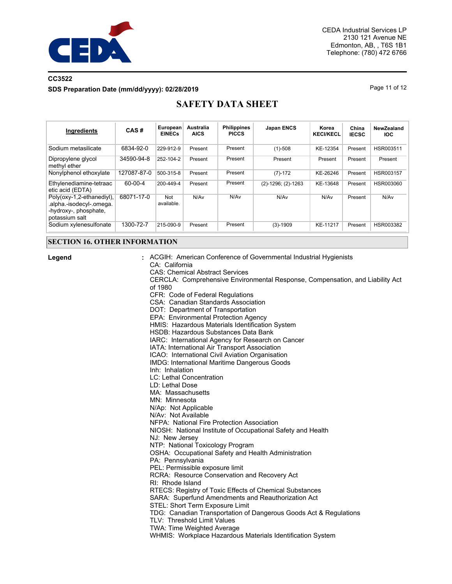

# **CC3522 SDS Preparation Date (mm/dd/yyyy): 02/28/2019 Page 11 of 12** Page 11 of 12

# **SAFETY DATA SHEET**

| Ingredients                                                                                      | CAS#        | European<br><b>EINECs</b> | Australia<br><b>AICS</b> | <b>Philippines</b><br><b>PICCS</b> | <b>Japan ENCS</b>       | Korea<br><b>KECI/KECL</b> | China<br><b>IECSC</b> | NewZealand<br><b>IOC</b> |
|--------------------------------------------------------------------------------------------------|-------------|---------------------------|--------------------------|------------------------------------|-------------------------|---------------------------|-----------------------|--------------------------|
| Sodium metasilicate                                                                              | 6834-92-0   | 229-912-9                 | Present                  | Present                            | $(1)-508$               | KE-12354                  | Present               | HSR003511                |
| Dipropylene glycol<br>methyl ether                                                               | 34590-94-8  | 252-104-2                 | Present                  | Present                            | Present                 | Present                   | Present               | Present                  |
| Nonylphenol ethoxylate                                                                           | 127087-87-0 | 500-315-8                 | Present                  | Present                            | $(7)-172$               | KE-26246                  | Present               | HSR003157                |
| Ethylenediamine-tetraac<br>etic acid (EDTA)                                                      | 60-00-4     | 200-449-4                 | Present                  | Present                            | $(2)-1296$ ; $(2)-1263$ | KE-13648                  | Present               | HSR003060                |
| Poly(oxy-1,2-ethanediyl),<br>.alpha.-isodecyl-.omega.<br>-hydroxy-, phosphate,<br>potassium salt | 68071-17-0  | Not<br>available.         | N/Av                     | N/Av                               | N/A <sub>v</sub>        | N/Av                      | Present               | N/Av                     |
| Sodium xylenesulfonate                                                                           | 1300-72-7   | 215-090-9                 | Present                  | Present                            | $(3)-1909$              | KE-11217                  | Present               | HSR003382                |

## **SECTION 16. OTHER INFORMATION**

**Legend :**

ACGIH: American Conference of Governmental Industrial Hygienists CA: California CAS: Chemical Abstract Services CERCLA: Comprehensive Environmental Response, Compensation, and Liability Act of 1980 CFR: Code of Federal Regulations CSA: Canadian Standards Association DOT: Department of Transportation EPA: Environmental Protection Agency HMIS: Hazardous Materials Identification System HSDB: Hazardous Substances Data Bank IARC: International Agency for Research on Cancer IATA: International Air Transport Association ICAO: International Civil Aviation Organisation IMDG: International Maritime Dangerous Goods Inh: Inhalation LC: Lethal Concentration LD: Lethal Dose MA: Massachusetts MN: Minnesota N/Ap: Not Applicable N/Av: Not Available NFPA: National Fire Protection Association NIOSH: National Institute of Occupational Safety and Health NJ: New Jersey NTP: National Toxicology Program OSHA: Occupational Safety and Health Administration PA: Pennsylvania PEL: Permissible exposure limit RCRA: Resource Conservation and Recovery Act RI: Rhode Island RTECS: Registry of Toxic Effects of Chemical Substances SARA: Superfund Amendments and Reauthorization Act STEL: Short Term Exposure Limit TDG: Canadian Transportation of Dangerous Goods Act & Regulations TLV: Threshold Limit Values TWA: Time Weighted Average WHMIS: Workplace Hazardous Materials Identification System